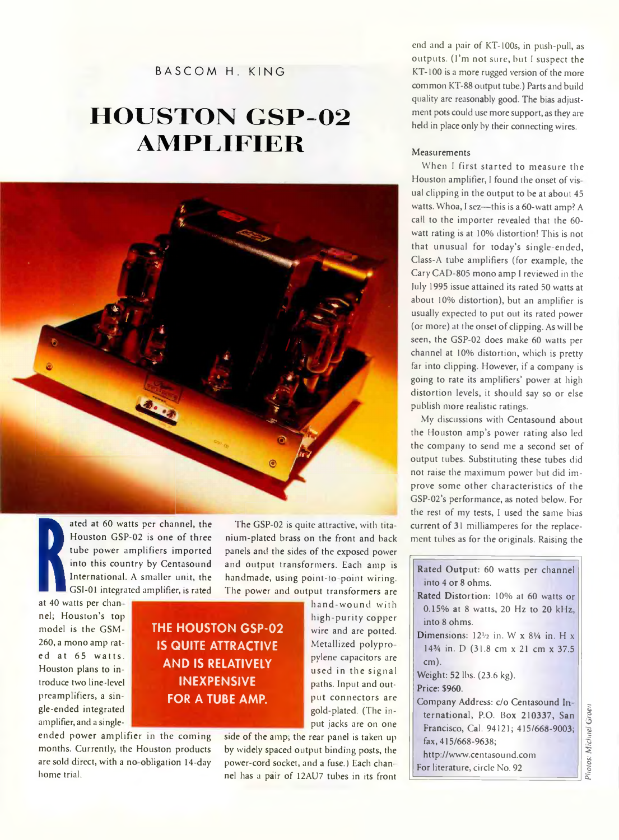**BASCOM H. KING**

# **HOUSTON GSP-02 A M P L IF IE R**



ated at 60<br>
Houston G<br>
tube power<br>
into this co<br>
internation<br>
GSI-01 integrated<br>
Reflection of the GSM<br>
model is the GSM ated at 60 watts per channel, the Houston GSP-02 is one of three tube power amplifiers imported into this country by Centasound International. A smaller unit, the GSI-01 integrated amplifier, is rated

at 40 watts per chan nel; Houston's top model is the GSM-260, a mono amp rated at 65 watts. Houston plans to introduce two line -level preamplifiers, a single-ended integrated amplifier, and a single-

## **THE HOUSTON GSP-02 IS QUITE ATTRACTIVE AND IS RELATIVELY INEXPENSIVE FOR A TUBE AMP.**

ended power amplifier in the coming months. Currently, the Houston products are sold direct, with a no-obligation 14-day home trial.

nium-plated brass on the front and back panels and the sides of the exposed power and output transformers. Each amp is handmade, using point-to-point wiring. The power and output transformers are hand-wound with high-purity copper wire and are potted.

The GSP-02 is quite attractive, with tita-

used in the signal paths. Input and output connectors are gold-plated. (The input jacks are on one side of the amp; the rear panel is taken up by widely spaced output binding posts, the power-cord socket, and a fuse. ) Each chan-

nel has a pair of 12AU7 tubes in its front

Metallized polypro pylene capacitors are

end and a pair of KT-lOOs, in push-pull, as outputs. (I'm not sure, but I suspect the KT-100 is a more rugged version of the more common KT-88 output tube.) Parts and build quality are reasonably good. The bias adjustment pots could use more support, as they are held in place only by their connecting wires.

#### Measurements

When I first started to measure the Houston amplifier, I found the onset of vis ual clipping in the output to be at about 45 watts. Whoa, I sez—this is a 60-watt amp? A call to the importer revealed that the 60 watt rating is at 10% distortion! This is not that unusual for today's single-ended, Class-A tube amplifiers (for example, the Cary CAD-805 mono amp I reviewed in the July 1995 issue attained its rated 50 watts at about 10% distortion), but an amplifier is usually expected to put out its rated power (or more) at the onset of clipping. As will be seen, the GSP-02 does make 60 watts per channel at 10% distortion, which is pretty far into clipping. However, if a company is going to rate its amplifiers' power at high distortion levels, it should say so or else publish more realistic ratings.

My discussions with Centasound about the Houston amp's power rating also led the company to send me a second set of output tubes. Substituting these tubes did not raise the maximum power but did improve some other characteristics of the GSP-02's performance, as noted below. For the rest of my tests, I used the same bias current of 31 milliamperes for the replacement tubes as for the originals. Raising the

| Rated Output: 60 watts per channel                           |
|--------------------------------------------------------------|
| into 4 or 8 ohms.                                            |
| Rated Distortion: 10% at 60 watts or                         |
| 0.15% at 8 watts, 20 Hz to 20 kHz                            |
| into 8 ohms.                                                 |
| Dimensions: $12\frac{1}{2}$ in. W x 81/4 in. H x             |
| 14 <sup>3</sup> / <sub>4</sub> in. D (31.8 cm x 21 cm x 37.5 |
| $cm)$ .                                                      |
| Weight: 52 lbs. (23.6 kg).                                   |
| Price: \$960.                                                |
| Company Address: c/o Centasound In-                          |
| ternational, P.O. Box 210337, San                            |
| Francisco, Cal. 94121; 415/668-9003;                         |
| fax, 415/668-9638;                                           |
| http://www.centasound.com                                    |
| For literature, circle No. 92                                |
|                                                              |

*Photos: Michael Uroen*Photos: Michael Groen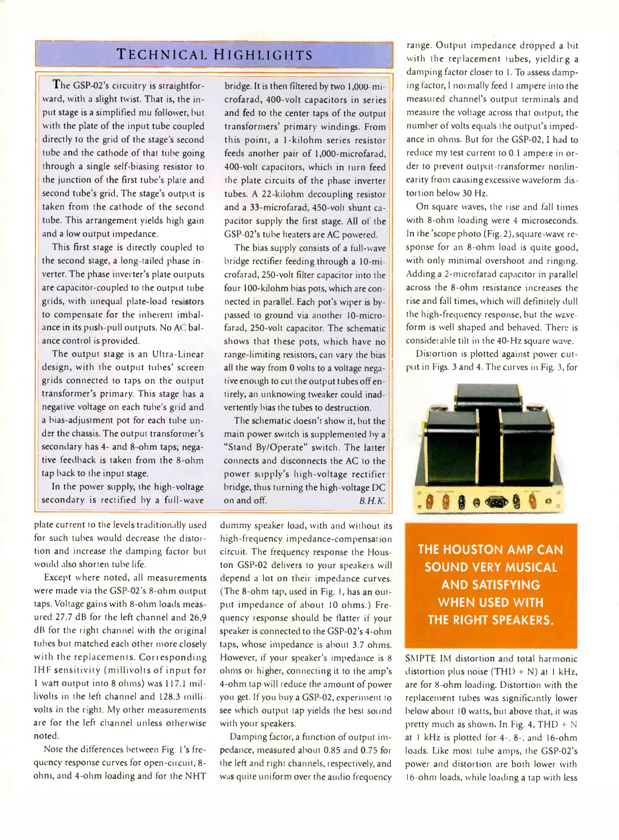### **Technical Highlights**

The GSP-02's circuitry is straightforward, with a slight twist. That is, the input stage is a simplified mu follower, hut with the plate of the input tube coupled directly to the grid of the stage's second tube and the cathode of that tube going through a single self-biasing resistor to the junction of the first tube s plate and second tube's grid. The stage's output is taken from the cathode of the second tube. This arrangement yields high gain and a low output impedance.

This first stage is directly coupled to the second stage, a long-tailed phase inverter. The phase inverter's plate outputs are capacitor-coupled to the output tube grids, with unequal plate-load resistors to compensate for the inherent imbalance in its push-pull outputs. No At balance control is provided

The output stage is an Ultra-Linear design, with the output tubes' screen grids connected to taps on the output transformer's primary. This stage has a negative voltage on each tube's grid and a bias-adjustment pot for each tube under the chassis. The output transformer's secondary has 4- and 8-ohm taps; negative feedback is taken from the 8-ohm tap back to the input stage.

In the power supply, the high-voltage secondary is rectified by a full-wave

plate current to the levels traditionally used for such tubes would decrease the distortion and increase the damping factor but would also shorten tube life.

Except where noted, all measurements were made via the GSP-02's 8-ohm output taps. Voltage gains with 8-ohm loads meas ured 27.7 dB for the left channel and 26,9 dB for the right channel with the original tubes but matched each other more closely with the replacements. Corresponding IHF sensitivity (millivolts of input for 1 watt output into 8 ohms) was 117.1 millivolts in the left channel and 128.3 millivolts in the right. My other measurements are for the left channel unless otherwise noted.

Note the differences between Fig. l 's frequency response curves for open-circuit, 8 ohm, and 4-ohm loading and for the NHT

bridge. It is then filtered by two 1,000-microfarad, 400-volt capacitors in series and fed to the center taps of the output transformers' primary windings. From this point, a 1-kilohm series resistor feeds another pair of 1,000-microfarad, 400-volt capacitors, which in turn feed the plate circuits of the phase inverter tubes. A 22 kilohm decoupling resistor and a 33-microfarad, 450-volt shunt capacitor supply the first stage. All ot the GSP-02's tube heaters are AC powered.

The bias supply consists of a full-wave bridge rectifier feeding through a 10-mi crofarad, 250-volt filter capacitor into the four 100-kilohm bias pots, which are connected in parallel. Each pot's wiper is bypassed to ground via another 10-microfarad, 250-volt capacitor. The schematic shows that these pots, which have no range-limiting resistors, can vary the bias all the way from 0 volts to a voltage negative enough to cut the output tubes off entirely; an unknowing tweaker could inad vertently bias the tubes to destruction.

The schematic doesn't show it, but the main power switch is supplemented by a "Stand By/Operate" switch. The latter connects and disconnects the AC to the power supply's high-voltage rectifier bridge, thus turning the high-voltage DC on and off. *B.H.K.*

dummy speaker load, with and without its high-frequency impedance-compensation circuit. The frequency response the Hous ton GSP-02 delivers to your speakers will depend a lot on their impedance curves. (The 8-ohm tap, used in Fig. 1, has an output impedance of about 10 ohms.) Fre quency response should be flatter if your speaker is connected to the GSP-02's 4-ohm taps, whose impedance is about 3.7 ohms. However, if your speaker's impedance is 8 ohms or higher, connecting it to the amp's 4-ohm tap will reduce the amount of power you get. If you buy a GSP-02, experiment to see which output tap yields the best sound with your speakers.

Damping factor, a function of output impedance, measured about 0.85 and 0.75 for the left and right channels, respectively, and Was quite uniform over the audio frequency

range. Output impedance dropped a bit with the replacement tubes, yielding a damping factor closer to 1. To assess damping factor, I normally feed 1 ampere into the measured channel's output terminals and measure the voltage across that output; the number of volts equals the output's impedance in ohms. But for the GSP-02,1 had to reduce my test current to 0.1 ampere in order to prevent output-transformer nonlinearity from causing excessive waveform dis tortion below 30 Hz.

On square waves, the rise and fall times with 8-ohm loading were 4 microseconds. In the 'scope photo (Fig. 2), square-wave response for an 8-ohm load is quite good, with only minimal overshoot and ringing. Adding a 2-microfarad capacitor in parallel across the 8-ohm resistance increases the rise and fall times, which will definitely dull the high-frequency response, but the waveform is well shaped and behaved. There is considerable tilt in the 40-Hz square wave.

Distortion is plotted against power cutput in Figs. 3 and 4. The curves in Fig. 3, for



**THE HOUSTON AMP CAN SOUND VERY MUSICAL AND SATISFYING WHEN USED WITH THE RIGHT SPEAKERS.**

SMPTE IM distortion and total harmonic distortion plus noise (THD + N) at 1 kHz, are for 8-ohm loading. Distortion with the replacement tubes was significantly lower below about 10 watts, but above that, it was pretty much as shown. In Fig. 4, THD  $+ N$ at 1 kHz is plotted for 4-. 8-, and 16-ohm loads. Like most tube amps, the GSP-02's power and distortion are both lower with 16-ohm loads, while loading a tap with less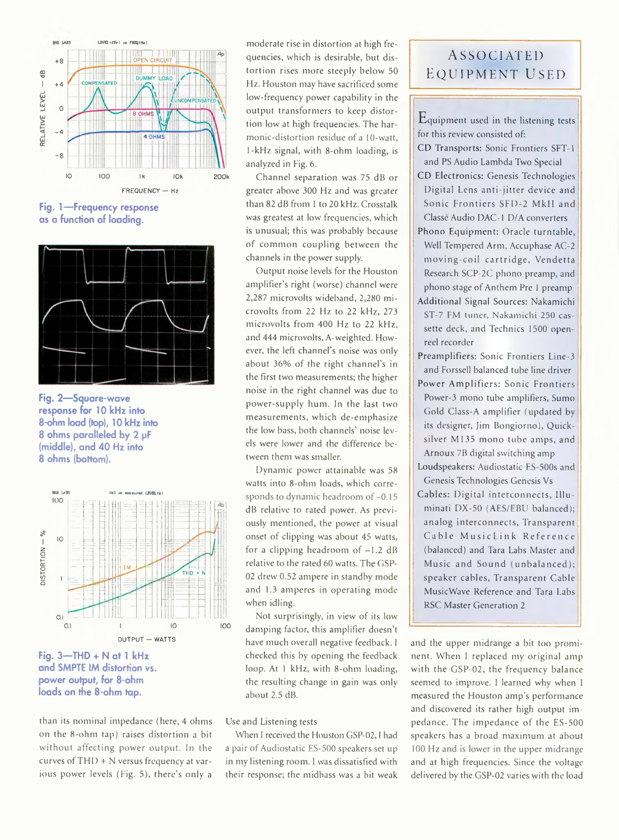

**Fig. 1 — Frequency response as a function of loading.**



**Fig. 2— Square-wave response for 10 kHz into 8-ohm load (top), 10 kHz into 8 ohms paralleled by 2 pF (middle), and 40 Hz into 8 ohms (bottom).**



**Fig. 3— THD + N at 1 kHz and SMPTE IM distortion vs. power output, for 8-ohm loads on the 8-ohm tap.**

than its nominal impedance (here, 4 ohms on the 8-ohm tap) raises distortion a bit without affecting power output. In the curves of  $THI$ ) + N versus frequency at various power levels (Fig. 5), there's only a

moderate rise in distortion at high frequencies, which is desirable, but distortion rises more steeply below 50 Hz. Houston may have sacrificed some low-frequency power capability in the output transformers to keep distortion low at high frequencies. The harmonic-distortion residue of a 10-watt, 1-kHz signal, with 8-ohm loading, is analyzed in Fig. 6.

Channel separation was 75 dB or greater above 300 Hz and was greater than 82 dB from 1 to 20 kHz. Crosstalk was greatest at low frequencies, which is unusual; this was probably because of common coupling between the channels in the power supply.

Output noise levels for the Houston amplifier's right (worse) channel were 2,287 microvolts wideband, 2,280 microvolts from 22 Hz to 22 kHz, 273 microvolts from 400 Hz to 22 kHz, and 444 microvolts, A-weighted. However, the left channel's noise was only about 36% of the right channel's in the first two measurements; the higher noise in the right channel was due to power-supply hum. In the last two measurements, which de-emphasize the low bass, both channels' noise levels were lower and the difference between them was smaller.

Dynamic power attainable was 58 watts into 8-ohm loads, which corresponds to dynamic headroom of  $-0.15$ dB relative to rated power. As previously mentioned, the power at visual onset of clipping was about 45 watts, for a clipping headroom of  $-1.2$  dB relative to the rated 60 watts. The GSP-02 drew 0.52 ampere in standby mode and 1.3 amperes in operating mode when idling.

Not surprisingly, in view of its low damping factor, this amplifier doesn't have much overall negative feedback. I checked this hy opening the feedback loop. At 1 kHz, with 8-ohm loading, the resulting change in gain was only about 2.5 dB.

### Use and Listening tests

When I received the Houston GSP-02,1 had a pair of Audiostatic ES-500 speakers set up in my listening room. 1 was dissatisfied with their response; the midbass was a bit weak

### **Associated equipment used**

 $E$ quipment used in the listening tests for this review consisted of:

- CD Transports: Sonic Frontiers SFT-1 and PS Audio Lambda Two Special
- CD Electronics: Genesis Technologies Digital Lens anti-jitter device and Sonic Frontiers SFD-2 MkII and Classe Audio DAC-1 D/A converters
- Phono Equipment: Oracle turntable, Well Tempered Arm, Accuphase AC-2 m oving-coil cartridge, Vendetta Research SCP-2C phono preamp, and phono stage of Anthem Pre 1 preamp
- Additional Signal Sources: Nakamichi ST-7 FM tuner, Nakamichi 250 cassette deck, and Technics 1500 openreel recorder
- Preamplifiers: Sonic Frontiers Line-3 and Forssell balanced tube line driver
- Power Amplifiers: Sonic Frontiers Power-3 mono tube amplifiers, Sumo Gold Class-A amplifier (updated by its designer, Jim Bongiorno), Quicksilver M135 mono tube amps, and Arnoux 7B digital switching amp
- Loudspeakers: Audiostatic ES-500s and Genesis Technologies Genesis Vs
- Cables: Digital interconnects, Illuminati DX-50 (AES/EBU balanced); analog interconnects, Transparent Cable MusicLink Reference (balanced) and Tara Labs Master and Music and Sound (unbalanced); speaker cables, Transparent Cable MusicWave Reference and Tara Labs RSC Master Generation 2

and the upper midrange a bit too prominent. When I replaced my original amp with the GSP-02, the frequency balance seemed to improve. I learned why when I measured the Houston amp's performance and discovered its rather high output impedance. The impedance of the ES-500 speakers has a broad maximum at about 100 Hz and is lower in the upper midrange and at high frequencies. Since the voltage delivered by the GSP-02 varies with the load